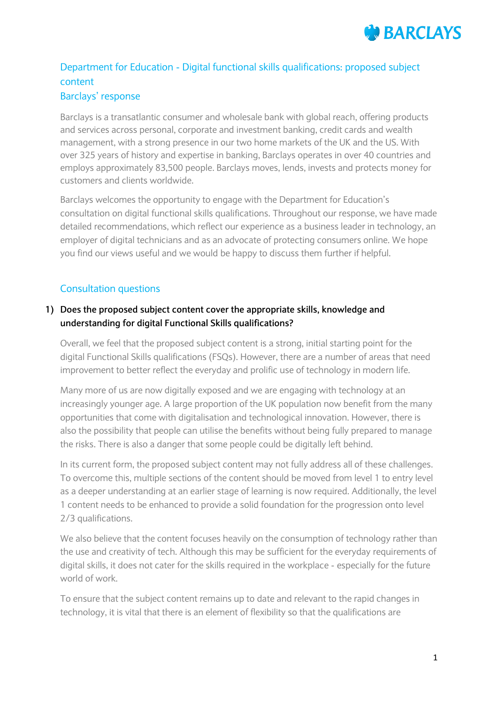

# Department for Education - Digital functional skills qualifications: proposed subject content Barclays' response

Barclays is a transatlantic consumer and wholesale bank with global reach, offering products and services across personal, corporate and investment banking, credit cards and wealth management, with a strong presence in our two home markets of the UK and the US. With over 325 years of history and expertise in banking, Barclays operates in over 40 countries and employs approximately 83,500 people. Barclays moves, lends, invests and protects money for customers and clients worldwide.

Barclays welcomes the opportunity to engage with the Department for Education's consultation on digital functional skills qualifications. Throughout our response, we have made detailed recommendations, which reflect our experience as a business leader in technology, an employer of digital technicians and as an advocate of protecting consumers online. We hope you find our views useful and we would be happy to discuss them further if helpful.

# Consultation questions

## **1) Does the proposed subject content cover the appropriate skills, knowledge and understanding for digital Functional Skills qualifications?**

Overall, we feel that the proposed subject content is a strong, initial starting point for the digital Functional Skills qualifications (FSQs). However, there are a number of areas that need improvement to better reflect the everyday and prolific use of technology in modern life.

Many more of us are now digitally exposed and we are engaging with technology at an increasingly younger age. A large proportion of the UK population now benefit from the many opportunities that come with digitalisation and technological innovation. However, there is also the possibility that people can utilise the benefits without being fully prepared to manage the risks. There is also a danger that some people could be digitally left behind.

In its current form, the proposed subject content may not fully address all of these challenges. To overcome this, multiple sections of the content should be moved from level 1 to entry level as a deeper understanding at an earlier stage of learning is now required. Additionally, the level 1 content needs to be enhanced to provide a solid foundation for the progression onto level 2/3 qualifications.

We also believe that the content focuses heavily on the consumption of technology rather than the use and creativity of tech. Although this may be sufficient for the everyday requirements of digital skills, it does not cater for the skills required in the workplace - especially for the future world of work.

To ensure that the subject content remains up to date and relevant to the rapid changes in technology, it is vital that there is an element of flexibility so that the qualifications are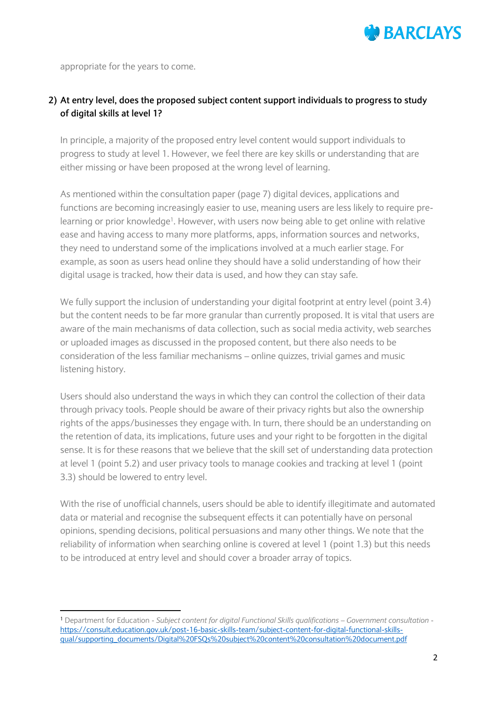

appropriate for the years to come.

1

### **2) At entry level, does the proposed subject content support individuals to progress to study of digital skills at level 1?**

In principle, a majority of the proposed entry level content would support individuals to progress to study at level 1. However, we feel there are key skills or understanding that are either missing or have been proposed at the wrong level of learning.

As mentioned within the consultation paper (page 7) digital devices, applications and functions are becoming increasingly easier to use, meaning users are less likely to require prelearning or prior knowledge<sup>1</sup>. However, with users now being able to get online with relative ease and having access to many more platforms, apps, information sources and networks, they need to understand some of the implications involved at a much earlier stage. For example, as soon as users head online they should have a solid understanding of how their digital usage is tracked, how their data is used, and how they can stay safe.

We fully support the inclusion of understanding your digital footprint at entry level (point 3.4) but the content needs to be far more granular than currently proposed. It is vital that users are aware of the main mechanisms of data collection, such as social media activity, web searches or uploaded images as discussed in the proposed content, but there also needs to be consideration of the less familiar mechanisms – online quizzes, trivial games and music listening history.

Users should also understand the ways in which they can control the collection of their data through privacy tools. People should be aware of their privacy rights but also the ownership rights of the apps/businesses they engage with. In turn, there should be an understanding on the retention of data, its implications, future uses and your right to be forgotten in the digital sense. It is for these reasons that we believe that the skill set of understanding data protection at level 1 (point 5.2) and user privacy tools to manage cookies and tracking at level 1 (point 3.3) should be lowered to entry level.

With the rise of unofficial channels, users should be able to identify illegitimate and automated data or material and recognise the subsequent effects it can potentially have on personal opinions, spending decisions, political persuasions and many other things. We note that the reliability of information when searching online is covered at level 1 (point 1.3) but this needs to be introduced at entry level and should cover a broader array of topics.

<sup>1</sup> Department for Education - *Subject content for digital Functional Skills qualifications – Government consultation* [https://consult.education.gov.uk/post-16-basic-skills-team/subject-content-for-digital-functional-skills](https://consult.education.gov.uk/post-16-basic-skills-team/subject-content-for-digital-functional-skills-qual/supporting_documents/Digital%20FSQs%20subject%20content%20consultation%20document.pdf)[qual/supporting\\_documents/Digital%20FSQs%20subject%20content%20consultation%20document.pdf](https://consult.education.gov.uk/post-16-basic-skills-team/subject-content-for-digital-functional-skills-qual/supporting_documents/Digital%20FSQs%20subject%20content%20consultation%20document.pdf)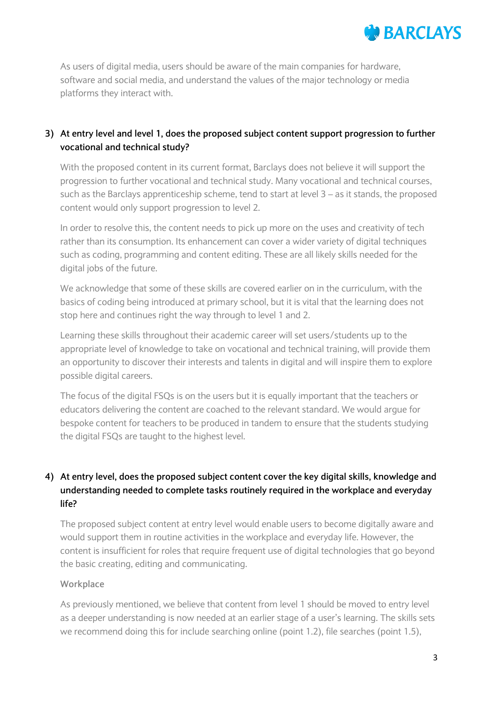

As users of digital media, users should be aware of the main companies for hardware, software and social media, and understand the values of the major technology or media platforms they interact with.

## **3) At entry level and level 1, does the proposed subject content support progression to further vocational and technical study?**

With the proposed content in its current format, Barclays does not believe it will support the progression to further vocational and technical study. Many vocational and technical courses, such as the Barclays apprenticeship scheme, tend to start at level  $3 - as$  it stands, the proposed content would only support progression to level 2.

In order to resolve this, the content needs to pick up more on the uses and creativity of tech rather than its consumption. Its enhancement can cover a wider variety of digital techniques such as coding, programming and content editing. These are all likely skills needed for the digital jobs of the future.

We acknowledge that some of these skills are covered earlier on in the curriculum, with the basics of coding being introduced at primary school, but it is vital that the learning does not stop here and continues right the way through to level 1 and 2.

Learning these skills throughout their academic career will set users/students up to the appropriate level of knowledge to take on vocational and technical training, will provide them an opportunity to discover their interests and talents in digital and will inspire them to explore possible digital careers.

The focus of the digital FSQs is on the users but it is equally important that the teachers or educators delivering the content are coached to the relevant standard. We would argue for bespoke content for teachers to be produced in tandem to ensure that the students studying the digital FSQs are taught to the highest level.

# **4) At entry level, does the proposed subject content cover the key digital skills, knowledge and understanding needed to complete tasks routinely required in the workplace and everyday life?**

The proposed subject content at entry level would enable users to become digitally aware and would support them in routine activities in the workplace and everyday life. However, the content is insufficient for roles that require frequent use of digital technologies that go beyond the basic creating, editing and communicating.

### **Workplace**

As previously mentioned, we believe that content from level 1 should be moved to entry level as a deeper understanding is now needed at an earlier stage of a user's learning. The skills sets we recommend doing this for include searching online (point 1.2), file searches (point 1.5),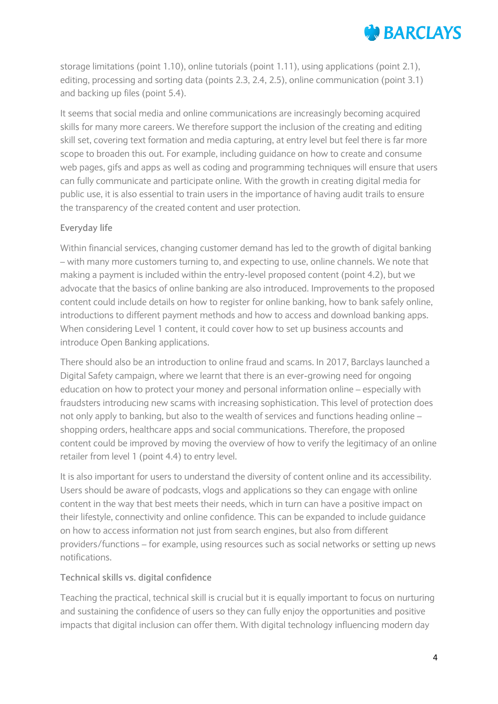# **MARCIAYS**

storage limitations (point 1.10), online tutorials (point 1.11), using applications (point 2.1), editing, processing and sorting data (points 2.3, 2.4, 2.5), online communication (point 3.1) and backing up files (point 5.4).

It seems that social media and online communications are increasingly becoming acquired skills for many more careers. We therefore support the inclusion of the creating and editing skill set, covering text formation and media capturing, at entry level but feel there is far more scope to broaden this out. For example, including guidance on how to create and consume web pages, gifs and apps as well as coding and programming techniques will ensure that users can fully communicate and participate online. With the growth in creating digital media for public use, it is also essential to train users in the importance of having audit trails to ensure the transparency of the created content and user protection.

### **Everyday life**

Within financial services, changing customer demand has led to the growth of digital banking – with many more customers turning to, and expecting to use, online channels. We note that making a payment is included within the entry-level proposed content (point 4.2), but we advocate that the basics of online banking are also introduced. Improvements to the proposed content could include details on how to register for online banking, how to bank safely online, introductions to different payment methods and how to access and download banking apps. When considering Level 1 content, it could cover how to set up business accounts and introduce Open Banking applications.

There should also be an introduction to online fraud and scams. In 2017, Barclays launched a Digital Safety campaign, where we learnt that there is an ever-growing need for ongoing education on how to protect your money and personal information online – especially with fraudsters introducing new scams with increasing sophistication. This level of protection does not only apply to banking, but also to the wealth of services and functions heading online – shopping orders, healthcare apps and social communications. Therefore, the proposed content could be improved by moving the overview of how to verify the legitimacy of an online retailer from level 1 (point 4.4) to entry level.

It is also important for users to understand the diversity of content online and its accessibility. Users should be aware of podcasts, vlogs and applications so they can engage with online content in the way that best meets their needs, which in turn can have a positive impact on their lifestyle, connectivity and online confidence. This can be expanded to include guidance on how to access information not just from search engines, but also from different providers/functions – for example, using resources such as social networks or setting up news notifications.

### **Technical skills vs. digital confidence**

Teaching the practical, technical skill is crucial but it is equally important to focus on nurturing and sustaining the confidence of users so they can fully enjoy the opportunities and positive impacts that digital inclusion can offer them. With digital technology influencing modern day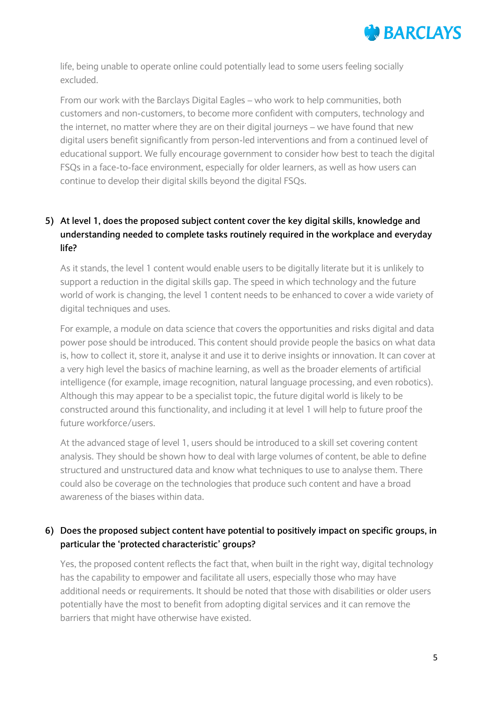

life, being unable to operate online could potentially lead to some users feeling socially excluded.

From our work with the Barclays Digital Eagles – who work to help communities, both customers and non-customers, to become more confident with computers, technology and the internet, no matter where they are on their digital journeys – we have found that new digital users benefit significantly from person-led interventions and from a continued level of educational support. We fully encourage government to consider how best to teach the digital FSQs in a face-to-face environment, especially for older learners, as well as how users can continue to develop their digital skills beyond the digital FSQs.

# **5) At level 1, does the proposed subject content cover the key digital skills, knowledge and understanding needed to complete tasks routinely required in the workplace and everyday life?**

As it stands, the level 1 content would enable users to be digitally literate but it is unlikely to support a reduction in the digital skills gap. The speed in which technology and the future world of work is changing, the level 1 content needs to be enhanced to cover a wide variety of digital techniques and uses.

For example, a module on data science that covers the opportunities and risks digital and data power pose should be introduced. This content should provide people the basics on what data is, how to collect it, store it, analyse it and use it to derive insights or innovation. It can cover at a very high level the basics of machine learning, as well as the broader elements of artificial intelligence (for example, image recognition, natural language processing, and even robotics). Although this may appear to be a specialist topic, the future digital world is likely to be constructed around this functionality, and including it at level 1 will help to future proof the future workforce/users.

At the advanced stage of level 1, users should be introduced to a skill set covering content analysis. They should be shown how to deal with large volumes of content, be able to define structured and unstructured data and know what techniques to use to analyse them. There could also be coverage on the technologies that produce such content and have a broad awareness of the biases within data.

## **6) Does the proposed subject content have potential to positively impact on specific groups, in particular the 'protected characteristic' groups?**

Yes, the proposed content reflects the fact that, when built in the right way, digital technology has the capability to empower and facilitate all users, especially those who may have additional needs or requirements. It should be noted that those with disabilities or older users potentially have the most to benefit from adopting digital services and it can remove the barriers that might have otherwise have existed.